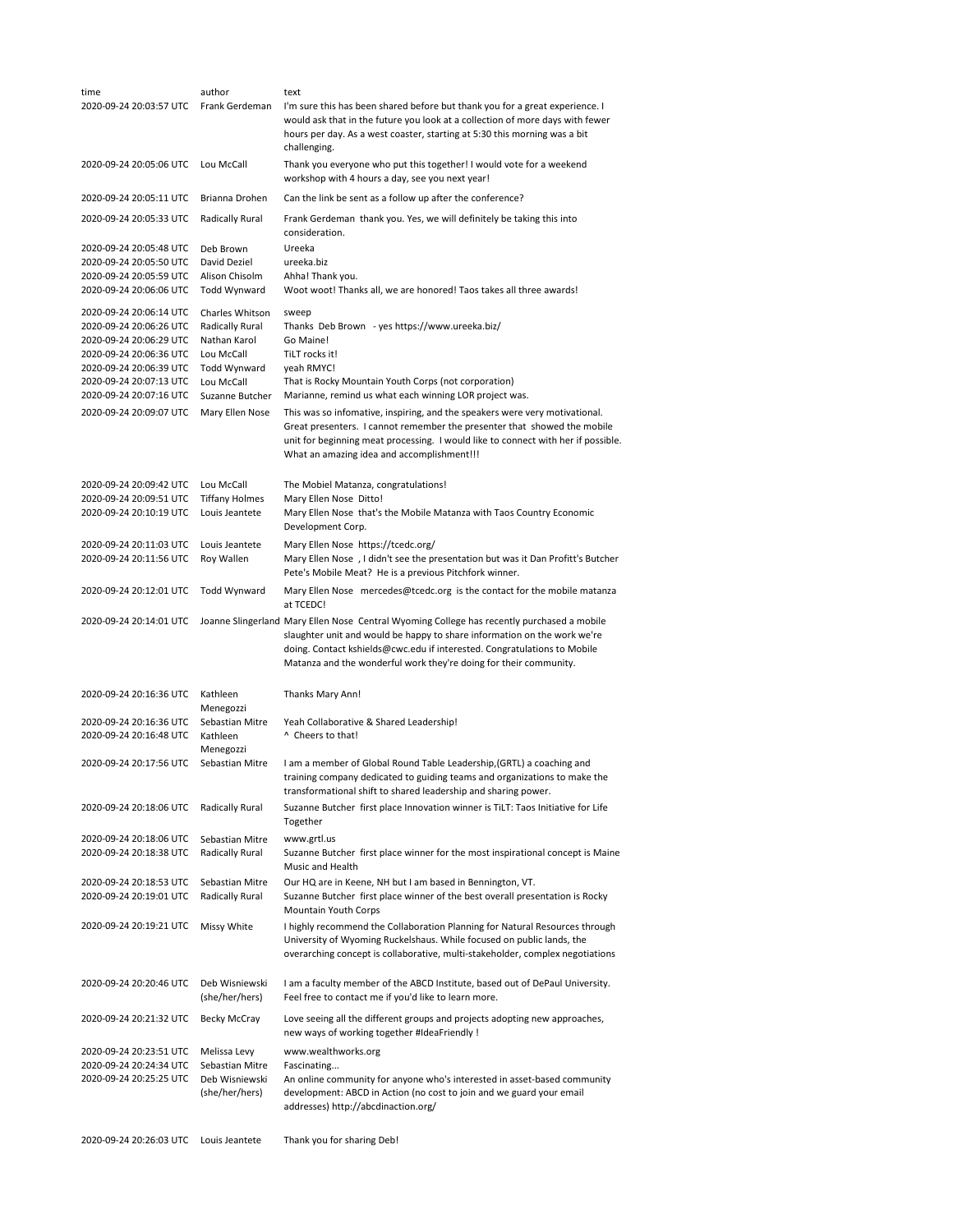| time                                               | author                           | text                                                                                                                                                                                                                                                                                                                    |
|----------------------------------------------------|----------------------------------|-------------------------------------------------------------------------------------------------------------------------------------------------------------------------------------------------------------------------------------------------------------------------------------------------------------------------|
| 2020-09-24 20:03:57 UTC                            | Frank Gerdeman                   | I'm sure this has been shared before but thank you for a great experience. I<br>would ask that in the future you look at a collection of more days with fewer<br>hours per day. As a west coaster, starting at 5:30 this morning was a bit<br>challenging.                                                              |
| 2020-09-24 20:05:06 UTC                            | Lou McCall                       | Thank you everyone who put this together! I would vote for a weekend<br>workshop with 4 hours a day, see you next year!                                                                                                                                                                                                 |
| 2020-09-24 20:05:11 UTC                            | Brianna Drohen                   | Can the link be sent as a follow up after the conference?                                                                                                                                                                                                                                                               |
| 2020-09-24 20:05:33 UTC                            | Radically Rural                  | Frank Gerdeman thank you. Yes, we will definitely be taking this into<br>consideration.                                                                                                                                                                                                                                 |
| 2020-09-24 20:05:48 UTC                            | Deb Brown                        | Ureeka                                                                                                                                                                                                                                                                                                                  |
| 2020-09-24 20:05:50 UTC<br>2020-09-24 20:05:59 UTC | David Deziel<br>Alison Chisolm   | ureeka.biz<br>Ahha! Thank you.                                                                                                                                                                                                                                                                                          |
| 2020-09-24 20:06:06 UTC                            | Todd Wynward                     | Woot woot! Thanks all, we are honored! Taos takes all three awards!                                                                                                                                                                                                                                                     |
| 2020-09-24 20:06:14 UTC<br>2020-09-24 20:06:26 UTC | Charles Whitson                  | sweep                                                                                                                                                                                                                                                                                                                   |
| 2020-09-24 20:06:29 UTC                            | Radically Rural<br>Nathan Karol  | Thanks Deb Brown - yes https://www.ureeka.biz/<br>Go Maine!                                                                                                                                                                                                                                                             |
| 2020-09-24 20:06:36 UTC                            | Lou McCall                       | TiLT rocks it!                                                                                                                                                                                                                                                                                                          |
| 2020-09-24 20:06:39 UTC                            | Todd Wynward                     | yeah RMYC!                                                                                                                                                                                                                                                                                                              |
| 2020-09-24 20:07:13 UTC<br>2020-09-24 20:07:16 UTC | Lou McCall<br>Suzanne Butcher    | That is Rocky Mountain Youth Corps (not corporation)<br>Marianne, remind us what each winning LOR project was.                                                                                                                                                                                                          |
| 2020-09-24 20:09:07 UTC                            | Mary Ellen Nose                  | This was so infomative, inspiring, and the speakers were very motivational.<br>Great presenters. I cannot remember the presenter that showed the mobile<br>unit for beginning meat processing. I would like to connect with her if possible.<br>What an amazing idea and accomplishment!!!                              |
| 2020-09-24 20:09:42 UTC                            | Lou McCall                       | The Mobiel Matanza, congratulations!                                                                                                                                                                                                                                                                                    |
| 2020-09-24 20:09:51 UTC                            | <b>Tiffany Holmes</b>            | Mary Ellen Nose Ditto!                                                                                                                                                                                                                                                                                                  |
| 2020-09-24 20:10:19 UTC                            | Louis Jeantete                   | Mary Ellen Nose that's the Mobile Matanza with Taos Country Economic<br>Development Corp.                                                                                                                                                                                                                               |
| 2020-09-24 20:11:03 UTC                            | Louis Jeantete                   | Mary Ellen Nose https://tcedc.org/                                                                                                                                                                                                                                                                                      |
| 2020-09-24 20:11:56 UTC                            | Roy Wallen                       | Mary Ellen Nose, I didn't see the presentation but was it Dan Profitt's Butcher<br>Pete's Mobile Meat? He is a previous Pitchfork winner.                                                                                                                                                                               |
| 2020-09-24 20:12:01 UTC                            | Todd Wynward                     | Mary Ellen Nose mercedes@tcedc.org is the contact for the mobile matanza<br>at TCEDC!                                                                                                                                                                                                                                   |
| 2020-09-24 20:14:01 UTC                            |                                  | Joanne Slingerland Mary Ellen Nose Central Wyoming College has recently purchased a mobile<br>slaughter unit and would be happy to share information on the work we're<br>doing. Contact kshields@cwc.edu if interested. Congratulations to Mobile<br>Matanza and the wonderful work they're doing for their community. |
| 2020-09-24 20:16:36 UTC                            | Kathleen<br>Menegozzi            | Thanks Mary Ann!                                                                                                                                                                                                                                                                                                        |
| 2020-09-24 20:16:36 UTC                            | Sebastian Mitre                  | Yeah Collaborative & Shared Leadership!                                                                                                                                                                                                                                                                                 |
| 2020-09-24 20:16:48 UTC                            | Kathleen<br>Menegozzi            | ^ Cheers to that!                                                                                                                                                                                                                                                                                                       |
| 2020-09-24 20:17:56 UTC                            | Sebastian Mitre                  | I am a member of Global Round Table Leadership, (GRTL) a coaching and<br>training company dedicated to guiding teams and organizations to make the<br>transformational shift to shared leadership and sharing power.                                                                                                    |
| 2020-09-24 20:18:06 UTC                            | Radically Rural                  | Suzanne Butcher first place Innovation winner is TiLT: Taos Initiative for Life<br>Together                                                                                                                                                                                                                             |
| 2020-09-24 20:18:06 UTC                            | Sebastian Mitre                  | www.grtl.us                                                                                                                                                                                                                                                                                                             |
| 2020-09-24 20:18:38 UTC                            | Radically Rural                  | Suzanne Butcher first place winner for the most inspirational concept is Maine<br>Music and Health                                                                                                                                                                                                                      |
| 2020-09-24 20:18:53 UTC                            | Sebastian Mitre                  | Our HQ are in Keene, NH but I am based in Bennington, VT.                                                                                                                                                                                                                                                               |
| 2020-09-24 20:19:01 UTC                            | Radically Rural                  | Suzanne Butcher first place winner of the best overall presentation is Rocky<br>Mountain Youth Corps                                                                                                                                                                                                                    |
| 2020-09-24 20:19:21 UTC                            | Missy White                      | I highly recommend the Collaboration Planning for Natural Resources through<br>University of Wyoming Ruckelshaus. While focused on public lands, the<br>overarching concept is collaborative, multi-stakeholder, complex negotiations                                                                                   |
| 2020-09-24 20:20:46 UTC                            | Deb Wisniewski<br>(she/her/hers) | I am a faculty member of the ABCD Institute, based out of DePaul University.<br>Feel free to contact me if you'd like to learn more.                                                                                                                                                                                    |
| 2020-09-24 20:21:32 UTC                            | Becky McCray                     | Love seeing all the different groups and projects adopting new approaches,<br>new ways of working together #IdeaFriendly !                                                                                                                                                                                              |
| 2020-09-24 20:23:51 UTC                            | Melissa Levy                     | www.wealthworks.org                                                                                                                                                                                                                                                                                                     |
| 2020-09-24 20:24:34 UTC                            | Sebastian Mitre                  | Fascinating                                                                                                                                                                                                                                                                                                             |
| 2020-09-24 20:25:25 UTC                            | Deb Wisniewski<br>(she/her/hers) | An online community for anyone who's interested in asset-based community<br>development: ABCD in Action (no cost to join and we guard your email<br>addresses) http://abcdinaction.org/                                                                                                                                 |
| 2020-09-24 20:26:03 UTC                            | Louis Jeantete                   | Thank you for sharing Deb!                                                                                                                                                                                                                                                                                              |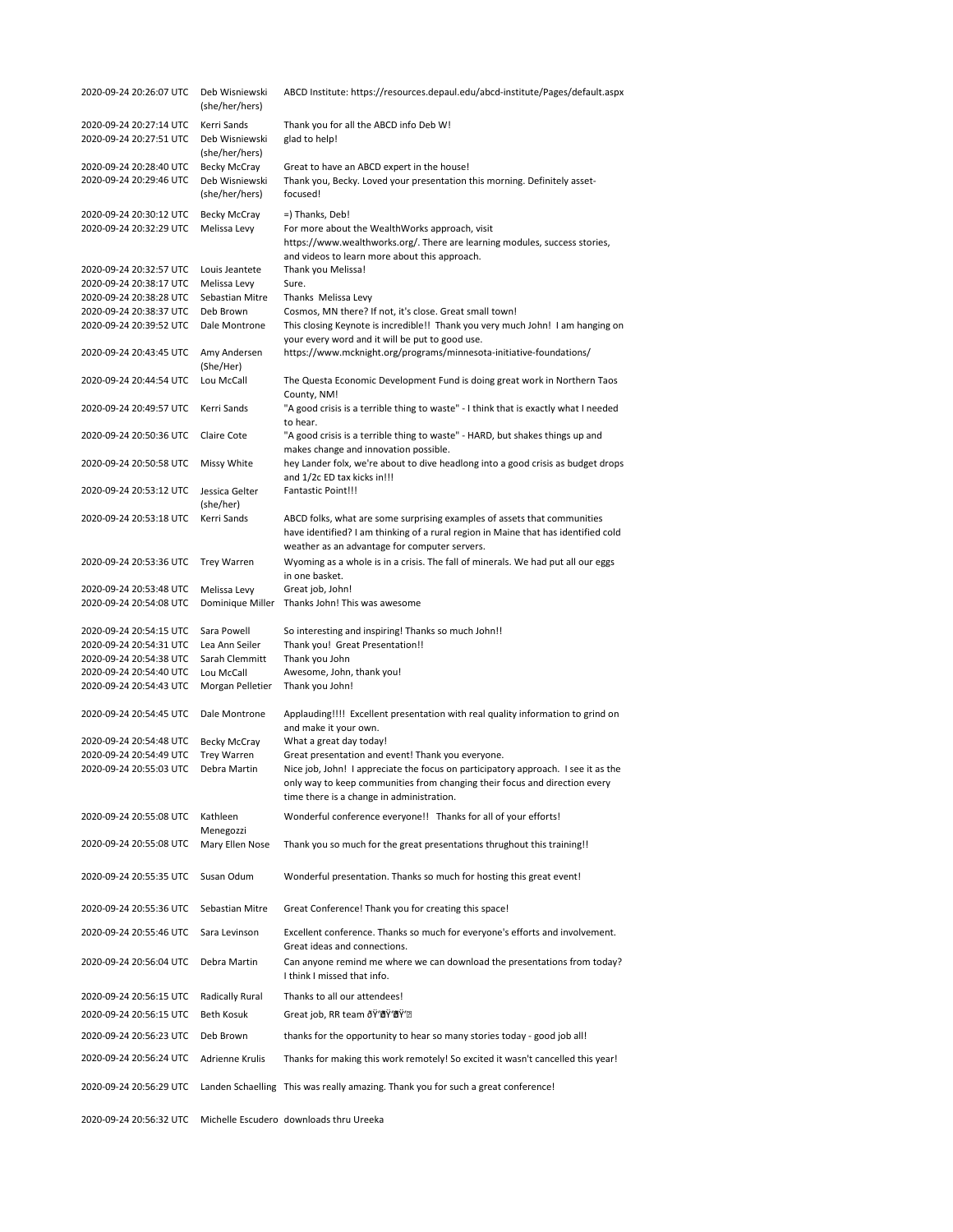| 2020-09-24 20:26:07 UTC                            | Deb Wisniewski<br>(she/her/hers) | ABCD Institute: https://resources.depaul.edu/abcd-institute/Pages/default.aspx                                                                                                                                  |
|----------------------------------------------------|----------------------------------|-----------------------------------------------------------------------------------------------------------------------------------------------------------------------------------------------------------------|
| 2020-09-24 20:27:14 UTC                            | Kerri Sands                      | Thank you for all the ABCD info Deb W!                                                                                                                                                                          |
| 2020-09-24 20:27:51 UTC                            | Deb Wisniewski<br>(she/her/hers) | glad to help!                                                                                                                                                                                                   |
| 2020-09-24 20:28:40 UTC                            | Becky McCray                     | Great to have an ABCD expert in the house!                                                                                                                                                                      |
| 2020-09-24 20:29:46 UTC                            | Deb Wisniewski<br>(she/her/hers) | Thank you, Becky. Loved your presentation this morning. Definitely asset-<br>focused!                                                                                                                           |
| 2020-09-24 20:30:12 UTC                            | Becky McCray                     | =) Thanks, Deb!                                                                                                                                                                                                 |
| 2020-09-24 20:32:29 UTC                            | Melissa Levy                     | For more about the WealthWorks approach, visit<br>https://www.wealthworks.org/. There are learning modules, success stories,<br>and videos to learn more about this approach.                                   |
| 2020-09-24 20:32:57 UTC                            | Louis Jeantete                   | Thank you Melissa!                                                                                                                                                                                              |
| 2020-09-24 20:38:17 UTC                            | Melissa Levy                     | Sure.                                                                                                                                                                                                           |
| 2020-09-24 20:38:28 UTC                            | Sebastian Mitre                  | Thanks Melissa Levy                                                                                                                                                                                             |
| 2020-09-24 20:38:37 UTC                            | Deb Brown                        | Cosmos, MN there? If not, it's close. Great small town!                                                                                                                                                         |
| 2020-09-24 20:39:52 UTC                            | Dale Montrone                    | This closing Keynote is incredible!! Thank you very much John! I am hanging on<br>your every word and it will be put to good use.                                                                               |
| 2020-09-24 20:43:45 UTC                            | Amy Andersen<br>(She/Her)        | https://www.mcknight.org/programs/minnesota-initiative-foundations/                                                                                                                                             |
| 2020-09-24 20:44:54 UTC                            | Lou McCall                       | The Questa Economic Development Fund is doing great work in Northern Taos<br>County, NM!                                                                                                                        |
| 2020-09-24 20:49:57 UTC                            | Kerri Sands                      | "A good crisis is a terrible thing to waste" - I think that is exactly what I needed<br>to hear.                                                                                                                |
| 2020-09-24 20:50:36 UTC                            | Claire Cote                      | "A good crisis is a terrible thing to waste" - HARD, but shakes things up and<br>makes change and innovation possible.                                                                                          |
| 2020-09-24 20:50:58 UTC                            | Missy White                      | hey Lander folx, we're about to dive headlong into a good crisis as budget drops<br>and 1/2c ED tax kicks in!!!                                                                                                 |
| 2020-09-24 20:53:12 UTC                            | Jessica Gelter<br>(she/her)      | Fantastic Point!!!                                                                                                                                                                                              |
| 2020-09-24 20:53:18 UTC                            | Kerri Sands                      | ABCD folks, what are some surprising examples of assets that communities<br>have identified? I am thinking of a rural region in Maine that has identified cold<br>weather as an advantage for computer servers. |
| 2020-09-24 20:53:36 UTC                            | <b>Trey Warren</b>               | Wyoming as a whole is in a crisis. The fall of minerals. We had put all our eggs<br>in one basket.                                                                                                              |
| 2020-09-24 20:53:48 UTC                            | Melissa Levy                     | Great job, John!                                                                                                                                                                                                |
| 2020-09-24 20:54:08 UTC                            | Dominique Miller                 | Thanks John! This was awesome                                                                                                                                                                                   |
|                                                    |                                  |                                                                                                                                                                                                                 |
| 2020-09-24 20:54:15 UTC                            | Sara Powell                      | So interesting and inspiring! Thanks so much John!!                                                                                                                                                             |
| 2020-09-24 20:54:31 UTC<br>2020-09-24 20:54:38 UTC | Lea Ann Seiler<br>Sarah Clemmitt | Thank you! Great Presentation!!<br>Thank you John                                                                                                                                                               |
| 2020-09-24 20:54:40 UTC                            | Lou McCall                       | Awesome, John, thank you!                                                                                                                                                                                       |
| 2020-09-24 20:54:43 UTC                            | Morgan Pelletier                 | Thank you John!                                                                                                                                                                                                 |
| 2020-09-24 20:54:45 UTC                            | Dale Montrone                    | Applauding!!!! Excellent presentation with real quality information to grind on<br>and make it your own.                                                                                                        |
| 2020-09-24 20:54:48 UTC                            | Becky McCray                     | What a great day today!                                                                                                                                                                                         |
| 2020-09-24 20:54:49 UTC<br>2020-09-24 20:55:03 UTC | Trey Warren                      | Great presentation and event! Thank you everyone.                                                                                                                                                               |
|                                                    | Debra Martin                     | Nice job, John! I appreciate the focus on participatory approach. I see it as the<br>only way to keep communities from changing their focus and direction every<br>time there is a change in administration.    |
| 2020-09-24 20:55:08 UTC                            | Kathleen<br>Menegozzi            | Wonderful conference everyone!! Thanks for all of your efforts!                                                                                                                                                 |
| 2020-09-24 20:55:08 UTC                            | Mary Ellen Nose                  | Thank you so much for the great presentations thrughout this training!!                                                                                                                                         |
| 2020-09-24 20:55:35 UTC                            | Susan Odum                       | Wonderful presentation. Thanks so much for hosting this great event!                                                                                                                                            |
| 2020-09-24 20:55:36 UTC                            | Sebastian Mitre                  | Great Conference! Thank you for creating this space!                                                                                                                                                            |
| 2020-09-24 20:55:46 UTC                            | Sara Levinson                    | Excellent conference. Thanks so much for everyone's efforts and involvement.<br>Great ideas and connections.                                                                                                    |
| 2020-09-24 20:56:04 UTC                            | Debra Martin                     | Can anyone remind me where we can download the presentations from today?<br>I think I missed that info.                                                                                                         |
| 2020-09-24 20:56:15 UTC                            | Radically Rural                  | Thanks to all our attendees!                                                                                                                                                                                    |
| 2020-09-24 20:56:15 UTC                            | Beth Kosuk                       | Great job, RR team ðŸ'ඕŸ'ඕŸ'ඕ                                                                                                                                                                                   |
| 2020-09-24 20:56:23 UTC                            | Deb Brown                        | thanks for the opportunity to hear so many stories today - good job all!                                                                                                                                        |
| 2020-09-24 20:56:24 UTC                            | Adrienne Krulis                  | Thanks for making this work remotely! So excited it wasn't cancelled this year!                                                                                                                                 |
| 2020-09-24 20:56:29 UTC                            |                                  | Landen Schaelling This was really amazing. Thank you for such a great conference!                                                                                                                               |
| 2020-09-24 20:56:32 UTC                            |                                  | Michelle Escudero downloads thru Ureeka                                                                                                                                                                         |